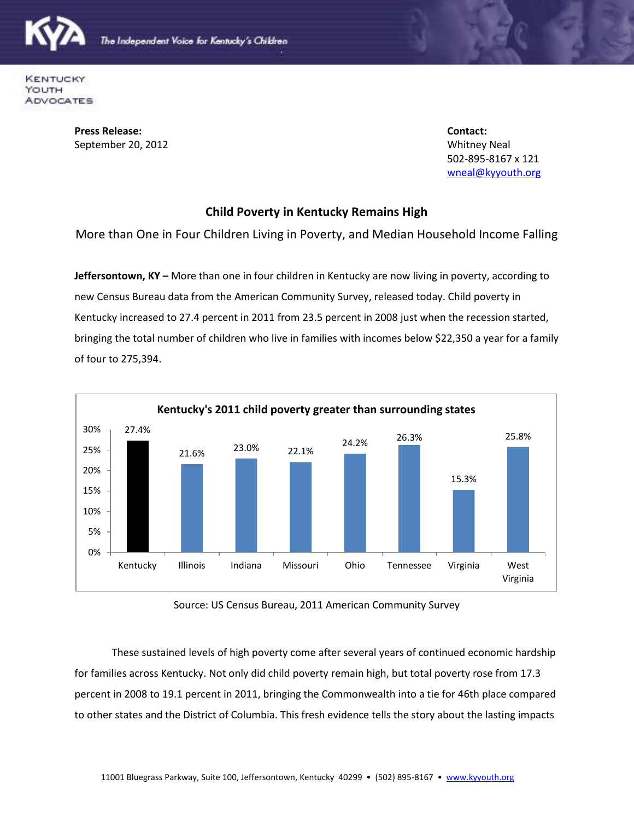

**KENTUCKY** YOUTH **ADVOCATES** 

> **Press Release: Contact:** September 20, 2012 **Whitney Neal**

502-895-8167 x 121 [wneal@kyyouth.org](mailto:wneal@kyyouth.org)

## **Child Poverty in Kentucky Remains High**

More than One in Four Children Living in Poverty, and Median Household Income Falling

**Jeffersontown, KY –** More than one in four children in Kentucky are now living in poverty, according to new Census Bureau data from the American Community Survey, released today. Child poverty in Kentucky increased to 27.4 percent in 2011 from 23.5 percent in 2008 just when the recession started, bringing the total number of children who live in families with incomes below \$22,350 a year for a family of four to 275,394.



Source: US Census Bureau, 2011 American Community Survey

These sustained levels of high poverty come after several years of continued economic hardship for families across Kentucky. Not only did child poverty remain high, but total poverty rose from 17.3 percent in 2008 to 19.1 percent in 2011, bringing the Commonwealth into a tie for 46th place compared to other states and the District of Columbia. This fresh evidence tells the story about the lasting impacts